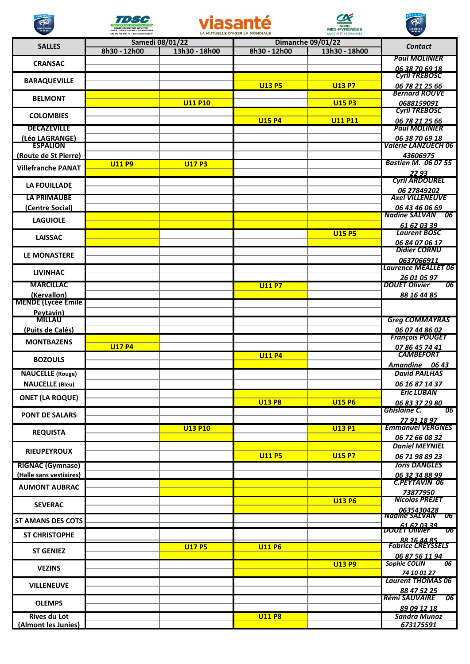

œ



R



**CALLES** 



| <b>SALLES</b>                            | 8h30 - 12h00  | 13h30 - 18h00  | 8h30 - 12h00  | 13h30 - 18h00  | Contact                                               |
|------------------------------------------|---------------|----------------|---------------|----------------|-------------------------------------------------------|
| <b>CRANSAC</b>                           |               |                |               |                | <b>Paul MOLINIER</b><br>06 38 70 69 18                |
| <b>BARAQUEVILLE</b>                      |               |                |               |                | <b>Cyril TREBOSC</b>                                  |
|                                          |               |                | <b>U13 P5</b> | <b>U13 P7</b>  | 06 78 21 25 66<br><b>Bernard ROUVE</b>                |
| <b>BELMONT</b>                           |               | <b>U11 P10</b> |               | <b>U15 P3</b>  | 0688159091                                            |
| <b>COLOMBIES</b>                         |               |                |               |                | <b>Cyril TREBOSC</b>                                  |
| <b>DECAZEVILLE</b>                       |               |                | <b>U15 P4</b> | <b>U11 P11</b> | 06 78 21 25 66<br><b>Paul MOLINIER</b>                |
| (Léo LAGRANGE)<br><b>ESPALION</b>        |               |                |               |                | 06 38 70 69 18<br><b>Valérie LANZUECH 06</b>          |
| (Route de St Pierre)                     |               |                |               |                | 43606975                                              |
| <b>Villefranche PANAT</b>                | <b>U11 P9</b> | <b>U17 P3</b>  |               |                | <b>Bastien M. 06 07 55</b><br>22 93                   |
| <b>LA FOUILLADE</b>                      |               |                |               |                | <b>Cyril ARDOUREL</b><br>06 27849202                  |
| <b>LA PRIMAUBE</b>                       |               |                |               |                | <b>Axel VILLENEUVE</b>                                |
| (Centre Social)                          |               |                |               |                | 06 43 46 06 69<br>Nadine SALVAN 06                    |
| <b>LAGUIOLE</b>                          |               |                |               |                | 61 62 03 39                                           |
| <b>LAISSAC</b>                           |               |                |               | <b>U15 P5</b>  | <b>Laurent BOSC</b><br>06 84 07 06 17                 |
| <b>LE MONASTERE</b>                      |               |                |               |                | <b>Didier CORNU</b><br>0637066911                     |
| <b>LIVINHAC</b>                          |               |                |               |                | <b>Laurence MEALLET 06</b>                            |
| <b>MARCILLAC</b>                         |               |                | <b>U11 P7</b> |                | 26 01 05 97<br>06<br><b>DOUET Olivier</b>             |
| (Kervallon)<br><b>MENDE (Lycée Emile</b> |               |                |               |                | 88 16 44 85                                           |
| Peytavin)                                |               |                |               |                |                                                       |
| <b>MILLAU</b>                            |               |                |               |                | <b>Greg COMMAYRAS</b>                                 |
| (Puits de Calés)                         |               |                |               |                | 06 07 44 86 02<br><b>François POUGET</b>              |
| <b>MONTBAZENS</b>                        | <b>U17 P4</b> |                |               |                | 07 86 45 74 41                                        |
| <b>BOZOULS</b>                           |               |                | <b>U11 P4</b> |                | <b>CAMBEFORT</b><br>Amandine 06 43                    |
| <b>NAUCELLE</b> (Rouge)                  |               |                |               |                | <b>David PAILHAS</b>                                  |
| <b>NAUCELLE (Bleu)</b>                   |               |                |               |                | 06 16 87 14 37                                        |
| <b>ONET (LA ROQUE)</b>                   |               |                | <b>U13 P8</b> | <b>U15 P6</b>  | <b>Eric LUBAN</b><br>06 83 37 29 80                   |
| <b>PONT DE SALARS</b>                    |               |                |               |                | <b>Ghislaine C.</b><br><b>O6</b> 1<br>77 91 18 97     |
| <b>REQUISTA</b>                          |               | <b>U13 P10</b> |               | <b>U13 P1</b>  | <b>Emmanuel VERGNES</b><br>06 72 66 08 32             |
| <b>RIEUPEYROUX</b>                       |               |                |               |                | <b>Daniel MEYNIEL</b>                                 |
| <b>RIGNAC (Gymnase)</b>                  |               |                | <b>U11 P5</b> | <b>U15 P7</b>  | 06 71 98 89 23<br><b>Joris DANGLES</b>                |
| (Halle sans vestiaires)                  |               |                |               |                | 06 32 34 88 99                                        |
| <b>AUMONT AUBRAC</b>                     |               |                |               |                | <b>C.PEYTAVIN 06</b><br>73877950                      |
| <b>SEVERAC</b>                           |               |                |               | <b>U13 P6</b>  | <b>Nicolas PREJET</b><br>0635430428                   |
| <b>ST AMANS DES COTS</b>                 |               |                |               |                | Naaine SALVAN Ub<br><b>DOUET Officer</b>              |
| <b>ST CHRISTOPHE</b>                     |               |                |               |                | $\overline{\boldsymbol{U}}$<br>88 16 44 85            |
| <b>ST GENIEZ</b>                         |               | <b>U17 P5</b>  | <b>U11 P6</b> |                | <b>Fabrice CREYSSELS</b><br>06 87 56 11 94            |
| <b>VEZINS</b>                            |               |                |               | <b>U13 P9</b>  | <b>Sophie COLIN</b><br>$\overline{06}$<br>74 10 01 27 |
| <b>VILLENEUVE</b>                        |               |                |               |                | <b>Laurent THOMAS 06</b><br>88 47 52 25               |
| <b>OLEMPS</b>                            |               |                |               |                | Rémi SAUVAIRE<br> 06 <br>89 09 12 18                  |
| <b>Rives du Lot</b>                      |               |                | <b>U11 P8</b> |                | <b>Sandra Munoz</b>                                   |
| (Almont les Junies)                      |               |                |               |                | 673175591                                             |

Viasanté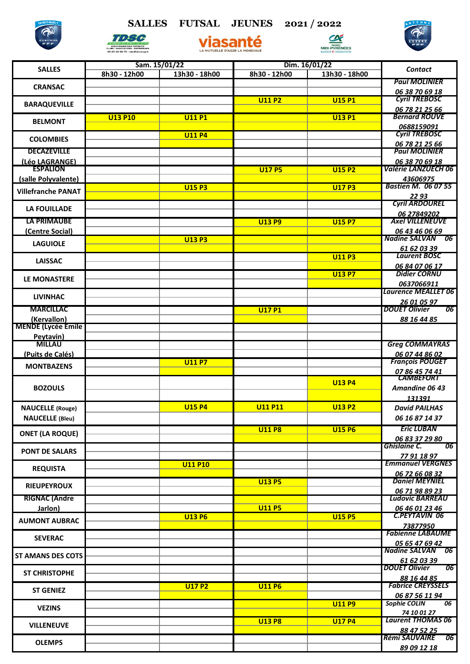## **SALLES FUTSAL JEUNES 2021 / 2022**





Viasante



| <b>SALLES</b>             | Sam. 15/01/22  |                | Dim. 16/01/22  |               |                                        |
|---------------------------|----------------|----------------|----------------|---------------|----------------------------------------|
|                           | 8h30 - 12h00   | 13h30 - 18h00  | 8h30 - 12h00   | 13h30 - 18h00 | <b>Contact</b>                         |
|                           |                |                |                |               | <b>Paul MOLINIER</b>                   |
| <b>CRANSAC</b>            |                |                |                |               | 06 38 70 69 18                         |
|                           |                |                | <b>U11 P2</b>  | <b>U15 P1</b> | <b>Cyril TREBOSC</b>                   |
| <b>BARAQUEVILLE</b>       |                |                |                |               | 06 78 21 25 66                         |
|                           | <b>U13 P10</b> | <b>U11P1</b>   |                | <b>U13 P1</b> | <b>Bernard ROUVE</b>                   |
| <b>BELMONT</b>            |                |                |                |               | 0688159091                             |
|                           |                | <b>U11 P4</b>  |                |               | <b>Cyril TREBOSC</b>                   |
| <b>COLOMBIES</b>          |                |                |                |               | 06 78 21 25 66                         |
| <b>DECAZEVILLE</b>        |                |                |                |               | <b>Paul MOLINIER</b>                   |
| (Léo LAGRANGE)            |                |                |                |               | 06 38 70 69 18                         |
| <b>ESPALION</b>           |                |                | <b>U17 P5</b>  | <b>U15 P2</b> | <b>Valérie LANZUECH 06</b>             |
| (salle Polyvalente)       |                |                |                |               | 43606975                               |
|                           |                | <b>U15 P3</b>  |                | <b>U17 P3</b> | <b>Bastien M. 06 07 55</b>             |
| <b>Villefranche PANAT</b> |                |                |                |               | 22 93                                  |
|                           |                |                |                |               | <b>Cyril ARDOUREL</b>                  |
| <b>LA FOUILLADE</b>       |                |                |                |               | 06 27849202                            |
| <b>LA PRIMAUBE</b>        |                |                | <b>U13 P9</b>  | <b>U15 P7</b> | <b>Axel VILLENEUVE</b>                 |
| (Centre Social)           |                |                |                |               | 06 43 46 06 69                         |
|                           |                | <b>U13 P3</b>  |                |               | Nadine SALVAN 06                       |
| <b>LAGUIOLE</b>           |                |                |                |               | 61 62 03 39                            |
|                           |                |                |                | <b>U11 P3</b> | <b>Laurent BOSC</b>                    |
| <b>LAISSAC</b>            |                |                |                |               | 06 84 07 06 17                         |
|                           |                |                |                | <b>U13 P7</b> | <b>Didier CORNU</b>                    |
| LE MONASTERE              |                |                |                |               | 0637066911                             |
|                           |                |                |                |               | <b>Laurence MEALLET 06</b>             |
| <b>LIVINHAC</b>           |                |                |                |               | 26 01 05 97                            |
| <b>MARCILLAC</b>          |                |                | <b>U17 P1</b>  |               | <b>DOUET Olivier</b><br>06             |
| (Kervallon)               |                |                |                |               | 88 16 44 85                            |
| <b>MENDE (Lycée Emile</b> |                |                |                |               |                                        |
| Peytavin)                 |                |                |                |               |                                        |
| <b>MILLAU</b>             |                |                |                |               | <b>Greg COMMAYRAS</b>                  |
| (Puits de Calés)          |                |                |                |               | 06 07 44 86 02                         |
|                           |                | <b>U11 P7</b>  |                |               | <b>François POUGET</b>                 |
| <b>MONTBAZENS</b>         |                |                |                |               | 07 86 45 74 41                         |
|                           |                |                |                | <b>U13 P4</b> | <b>CAMBEFORT</b>                       |
| <b>BOZOULS</b>            |                |                |                |               | Amandine 06 43                         |
|                           |                |                |                |               | 131391                                 |
| <b>NAUCELLE</b> (Rouge)   |                | <b>U15 P4</b>  | <b>U11 P11</b> | <b>U13 P2</b> | <b>David PAILHAS</b>                   |
|                           |                |                |                |               |                                        |
| <b>NAUCELLE</b> (Bleu)    |                |                |                |               | 06 16 87 14 37                         |
| <b>ONET (LA ROQUE)</b>    |                |                | <b>U11 P8</b>  | <b>U15 P6</b> | <b>Eric LUBAN</b>                      |
|                           |                |                |                |               | 06 83 37 29 80                         |
| <b>PONT DE SALARS</b>     |                |                |                |               | <b>Ghislaine C.</b><br>06              |
|                           |                |                |                |               | 77 91 18 97                            |
| <b>REQUISTA</b>           |                | <b>U11 P10</b> |                |               | <b>Emmanuel VERGNES</b>                |
|                           |                |                |                |               | 06 72 66 08 32                         |
| <b>RIEUPEYROUX</b>        |                |                | <b>U13 P5</b>  |               | <b>Daniel MEYNIEL</b>                  |
|                           |                |                |                |               | 06 71 98 89 23                         |
| <b>RIGNAC (Andre</b>      |                |                |                |               | <b>Ludovic BARREAU</b>                 |
| Jarlon)                   |                |                | <b>U11 P5</b>  |               | 06 46 01 23 46                         |
| <b>AUMONT AUBRAC</b>      |                | <b>U13 P6</b>  |                | <b>U15 P5</b> | <b>C.PEYTAVIN 06</b>                   |
|                           |                |                |                |               | 73877950                               |
| <b>SEVERAC</b>            |                |                |                |               | <b>Fabienne LABAUME</b>                |
|                           |                |                |                |               | 05 65 47 69 42                         |
| <b>ST AMANS DES COTS</b>  |                |                |                |               | Nadine SALVAN 06                       |
|                           |                |                |                |               | 61 62 03 39                            |
| <b>ST CHRISTOPHE</b>      |                |                |                |               | 06<br><b>DOUET Olivier</b>             |
|                           |                |                |                |               | 88 16 44 85                            |
| <b>ST GENIEZ</b>          |                | <b>U17 P2</b>  | <b>U11 P6</b>  |               | <b>Fabrice CREYSSELS</b>               |
|                           |                |                |                |               | 06 87 56 11 94                         |
| <b>VEZINS</b>             |                |                |                | <b>U11 P9</b> | <b>Sophie COLIN</b><br>$\overline{06}$ |
|                           |                |                |                |               | 74 10 01 27                            |
| <b>VILLENEUVE</b>         |                |                | <b>U13 P8</b>  | <b>U17 P4</b> | <b>Laurent THOMAS 06</b>               |
|                           |                |                |                |               | 88 47 52 25                            |
| <b>OLEMPS</b>             |                |                |                |               | <b>Rémi SAUVAIRE</b><br>-06            |
|                           |                |                |                |               | 89 09 12 18                            |